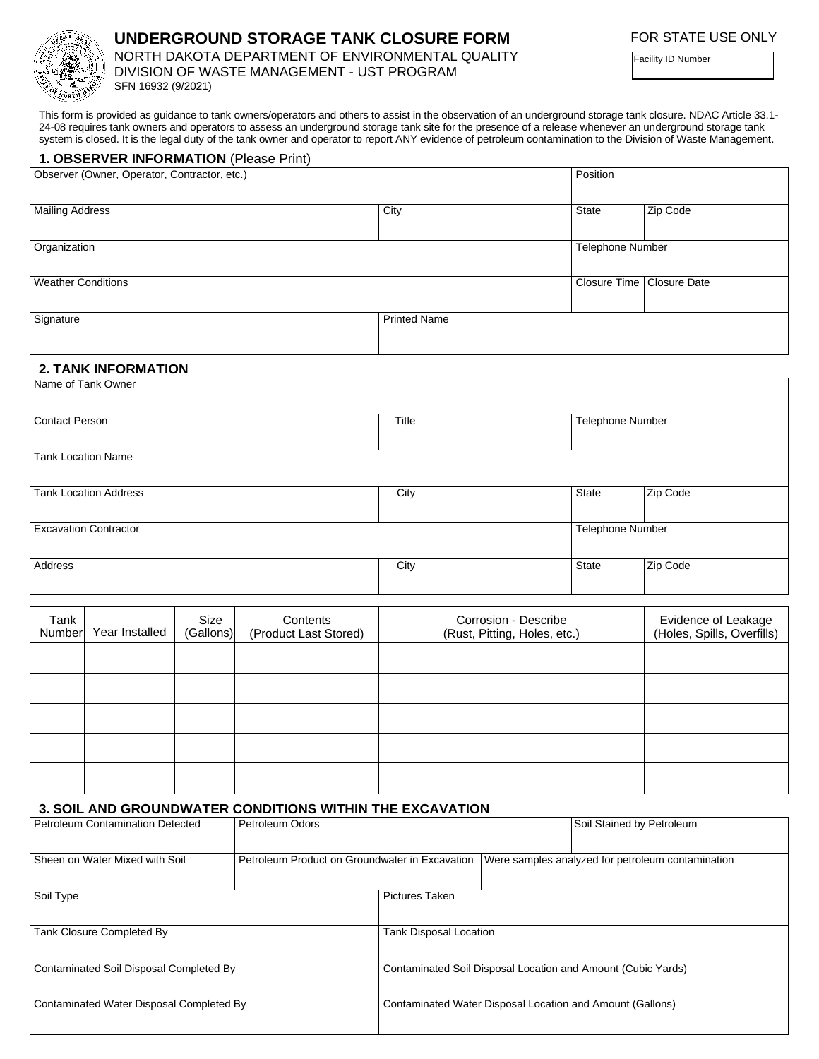

## **UNDERGROUND STORAGE TANK CLOSURE FORM**

NORTH DAKOTA DEPARTMENT OF ENVIRONMENTAL QUALITY DIVISION OF WASTE MANAGEMENT - UST PROGRAM SFN 16932 (9/2021)

Facility ID Number

This form is provided as guidance to tank owners/operators and others to assist in the observation of an underground storage tank closure. NDAC Article 33.1- 24-08 requires tank owners and operators to assess an underground storage tank site for the presence of a release whenever an underground storage tank system is closed. It is the legal duty of the tank owner and operator to report ANY evidence of petroleum contamination to the Division of Waste Management.

|                                              | 1. OBSERVER INFORMATION (Please Print) |                   |                                   |                                                      |              |                                                   |  |  |
|----------------------------------------------|----------------------------------------|-------------------|-----------------------------------|------------------------------------------------------|--------------|---------------------------------------------------|--|--|
| Observer (Owner, Operator, Contractor, etc.) |                                        |                   |                                   | Position                                             |              |                                                   |  |  |
| <b>Mailing Address</b>                       |                                        |                   |                                   | City                                                 | <b>State</b> | Zip Code                                          |  |  |
| Organization                                 |                                        |                   |                                   |                                                      |              | <b>Telephone Number</b>                           |  |  |
| <b>Weather Conditions</b>                    |                                        |                   |                                   |                                                      |              | Closure Time   Closure Date                       |  |  |
| Signature                                    |                                        |                   |                                   | <b>Printed Name</b>                                  |              |                                                   |  |  |
|                                              | <b>2. TANK INFORMATION</b>             |                   |                                   |                                                      |              |                                                   |  |  |
| Name of Tank Owner                           |                                        |                   |                                   |                                                      |              |                                                   |  |  |
| <b>Contact Person</b>                        |                                        |                   |                                   | Title                                                |              | <b>Telephone Number</b>                           |  |  |
| <b>Tank Location Name</b>                    |                                        |                   |                                   |                                                      |              |                                                   |  |  |
| <b>Tank Location Address</b>                 |                                        |                   |                                   | City                                                 | State        | Zip Code                                          |  |  |
| <b>Excavation Contractor</b>                 |                                        |                   |                                   |                                                      |              | <b>Telephone Number</b>                           |  |  |
| Address                                      |                                        |                   |                                   | City                                                 | State        | Zip Code                                          |  |  |
|                                              |                                        |                   |                                   |                                                      |              |                                                   |  |  |
| Tank<br>Number                               | Year Installed                         | Size<br>(Gallons) | Contents<br>(Product Last Stored) | Corrosion - Describe<br>(Rust, Pitting, Holes, etc.) |              | Evidence of Leakage<br>(Holes, Spills, Overfills) |  |  |
|                                              |                                        |                   |                                   |                                                      |              |                                                   |  |  |
|                                              |                                        |                   |                                   |                                                      |              |                                                   |  |  |
|                                              |                                        |                   |                                   |                                                      |              |                                                   |  |  |

## **3. SOIL AND GROUNDWATER CONDITIONS WITHIN THE EXCAVATION**

| Petroleum Contamination Detected         | Petroleum Odors       |                                                              | Soil Stained by Petroleum                                                                          |  |  |  |
|------------------------------------------|-----------------------|--------------------------------------------------------------|----------------------------------------------------------------------------------------------------|--|--|--|
| Sheen on Water Mixed with Soil           |                       |                                                              | Petroleum Product on Groundwater in Excavation   Were samples analyzed for petroleum contamination |  |  |  |
| Soil Type                                | <b>Pictures Taken</b> |                                                              |                                                                                                    |  |  |  |
| Tank Closure Completed By                |                       | Tank Disposal Location                                       |                                                                                                    |  |  |  |
| Contaminated Soil Disposal Completed By  |                       | Contaminated Soil Disposal Location and Amount (Cubic Yards) |                                                                                                    |  |  |  |
| Contaminated Water Disposal Completed By |                       | Contaminated Water Disposal Location and Amount (Gallons)    |                                                                                                    |  |  |  |